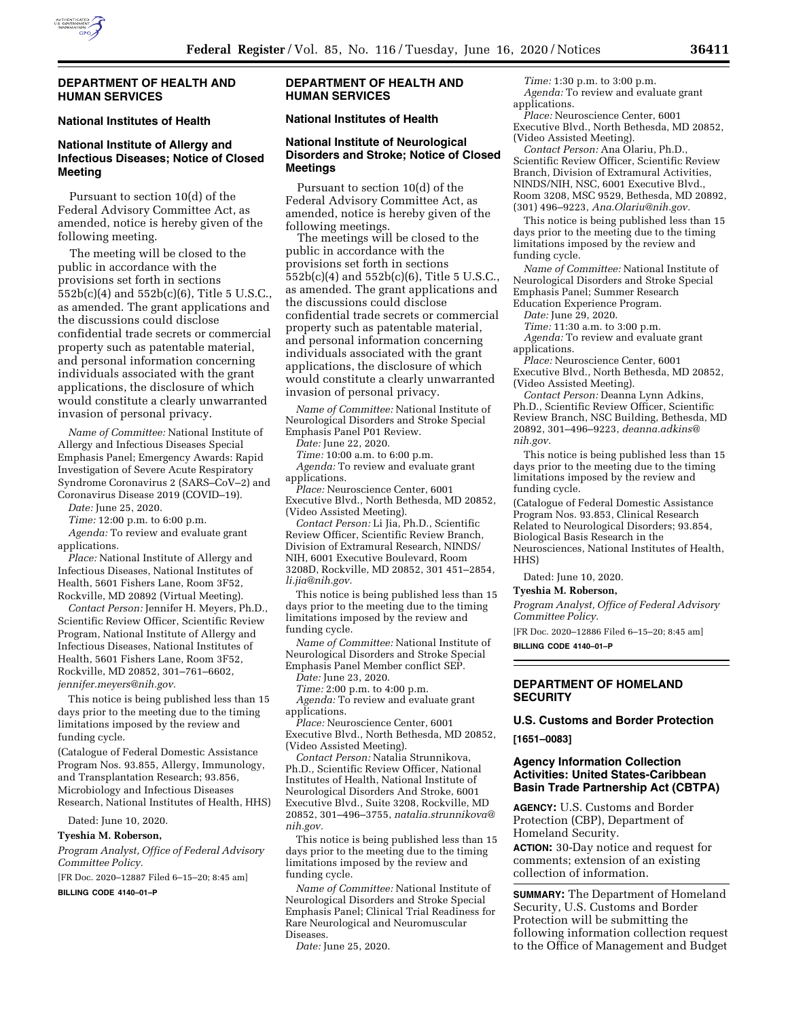

# **DEPARTMENT OF HEALTH AND HUMAN SERVICES**

#### **National Institutes of Health**

# **National Institute of Allergy and Infectious Diseases; Notice of Closed Meeting**

Pursuant to section 10(d) of the Federal Advisory Committee Act, as amended, notice is hereby given of the following meeting.

The meeting will be closed to the public in accordance with the provisions set forth in sections 552b(c)(4) and 552b(c)(6), Title 5 U.S.C., as amended. The grant applications and the discussions could disclose confidential trade secrets or commercial property such as patentable material, and personal information concerning individuals associated with the grant applications, the disclosure of which would constitute a clearly unwarranted invasion of personal privacy.

*Name of Committee:* National Institute of Allergy and Infectious Diseases Special Emphasis Panel; Emergency Awards: Rapid Investigation of Severe Acute Respiratory Syndrome Coronavirus 2 (SARS–CoV–2) and Coronavirus Disease 2019 (COVID–19).

*Date:* June 25, 2020.

*Time:* 12:00 p.m. to 6:00 p.m.

*Agenda:* To review and evaluate grant applications.

*Place:* National Institute of Allergy and Infectious Diseases, National Institutes of Health, 5601 Fishers Lane, Room 3F52, Rockville, MD 20892 (Virtual Meeting).

*Contact Person:* Jennifer H. Meyers, Ph.D., Scientific Review Officer, Scientific Review Program, National Institute of Allergy and Infectious Diseases, National Institutes of Health, 5601 Fishers Lane, Room 3F52, Rockville, MD 20852, 301–761–6602, *[jennifer.meyers@nih.gov.](mailto:jennifer.meyers@nih.gov)* 

This notice is being published less than 15 days prior to the meeting due to the timing limitations imposed by the review and funding cycle.

(Catalogue of Federal Domestic Assistance Program Nos. 93.855, Allergy, Immunology, and Transplantation Research; 93.856, Microbiology and Infectious Diseases Research, National Institutes of Health, HHS)

Dated: June 10, 2020.

## **Tyeshia M. Roberson,**

*Program Analyst, Office of Federal Advisory Committee Policy.* 

[FR Doc. 2020–12887 Filed 6–15–20; 8:45 am]

**BILLING CODE 4140–01–P** 

## **DEPARTMENT OF HEALTH AND HUMAN SERVICES**

# **National Institutes of Health**

## **National Institute of Neurological Disorders and Stroke; Notice of Closed Meetings**

Pursuant to section 10(d) of the Federal Advisory Committee Act, as amended, notice is hereby given of the following meetings.

The meetings will be closed to the public in accordance with the provisions set forth in sections 552b(c)(4) and 552b(c)(6), Title 5 U.S.C., as amended. The grant applications and the discussions could disclose confidential trade secrets or commercial property such as patentable material, and personal information concerning individuals associated with the grant applications, the disclosure of which would constitute a clearly unwarranted invasion of personal privacy.

*Name of Committee:* National Institute of Neurological Disorders and Stroke Special Emphasis Panel P01 Review.

*Date:* June 22, 2020.

*Time:* 10:00 a.m. to 6:00 p.m. *Agenda:* To review and evaluate grant applications.

*Place:* Neuroscience Center, 6001 Executive Blvd., North Bethesda, MD 20852, (Video Assisted Meeting).

*Contact Person:* Li Jia, Ph.D., Scientific Review Officer, Scientific Review Branch, Division of Extramural Research, NINDS/ NIH, 6001 Executive Boulevard, Room 3208D, Rockville, MD 20852, 301 451–2854, *[li.jia@nih.gov.](mailto:li.jia@nih.gov)* 

This notice is being published less than 15 days prior to the meeting due to the timing limitations imposed by the review and funding cycle.

*Name of Committee:* National Institute of Neurological Disorders and Stroke Special Emphasis Panel Member conflict SEP.

*Date:* June 23, 2020. *Time:* 2:00 p.m. to 4:00 p.m.

*Agenda:* To review and evaluate grant applications.

*Place:* Neuroscience Center, 6001 Executive Blvd., North Bethesda, MD 20852, (Video Assisted Meeting).

*Contact Person:* Natalia Strunnikova, Ph.D., Scientific Review Officer, National Institutes of Health, National Institute of Neurological Disorders And Stroke, 6001 Executive Blvd., Suite 3208, Rockville, MD 20852, 301–496–3755, *[natalia.strunnikova@](mailto:natalia.strunnikova@nih.gov) [nih.gov.](mailto:natalia.strunnikova@nih.gov)* 

This notice is being published less than 15 days prior to the meeting due to the timing limitations imposed by the review and funding cycle.

*Name of Committee:* National Institute of Neurological Disorders and Stroke Special Emphasis Panel; Clinical Trial Readiness for Rare Neurological and Neuromuscular Diseases.

*Date:* June 25, 2020.

*Time:* 1:30 p.m. to 3:00 p.m. *Agenda:* To review and evaluate grant applications.

*Place:* Neuroscience Center, 6001 Executive Blvd., North Bethesda, MD 20852, (Video Assisted Meeting).

*Contact Person:* Ana Olariu, Ph.D., Scientific Review Officer, Scientific Review Branch, Division of Extramural Activities, NINDS/NIH, NSC, 6001 Executive Blvd., Room 3208, MSC 9529, Bethesda, MD 20892, (301) 496–9223, *[Ana.Olariu@nih.gov.](mailto:Ana.Olariu@nih.gov)* 

This notice is being published less than 15 days prior to the meeting due to the timing limitations imposed by the review and funding cycle.

*Name of Committee:* National Institute of Neurological Disorders and Stroke Special Emphasis Panel; Summer Research Education Experience Program.

*Date:* June 29, 2020.

*Time:* 11:30 a.m. to 3:00 p.m.

*Agenda:* To review and evaluate grant applications.

*Place:* Neuroscience Center, 6001 Executive Blvd., North Bethesda, MD 20852, (Video Assisted Meeting).

*Contact Person:* Deanna Lynn Adkins, Ph.D., Scientific Review Officer, Scientific Review Branch, NSC Building, Bethesda, MD 20892, 301–496–9223, *[deanna.adkins@](mailto:deanna.adkins@nih.gov) [nih.gov.](mailto:deanna.adkins@nih.gov)* 

This notice is being published less than 15 days prior to the meeting due to the timing limitations imposed by the review and funding cycle.

(Catalogue of Federal Domestic Assistance Program Nos. 93.853, Clinical Research Related to Neurological Disorders; 93.854, Biological Basis Research in the Neurosciences, National Institutes of Health, HHS)

Dated: June 10, 2020.

#### **Tyeshia M. Roberson,**

*Program Analyst, Office of Federal Advisory Committee Policy.* 

[FR Doc. 2020–12886 Filed 6–15–20; 8:45 am]

**BILLING CODE 4140–01–P** 

# **DEPARTMENT OF HOMELAND SECURITY**

**U.S. Customs and Border Protection [1651–0083]** 

#### **Agency Information Collection Activities: United States-Caribbean Basin Trade Partnership Act (CBTPA)**

**AGENCY:** U.S. Customs and Border Protection (CBP), Department of Homeland Security.

**ACTION:** 30-Day notice and request for comments; extension of an existing collection of information.

**SUMMARY:** The Department of Homeland Security, U.S. Customs and Border Protection will be submitting the following information collection request to the Office of Management and Budget